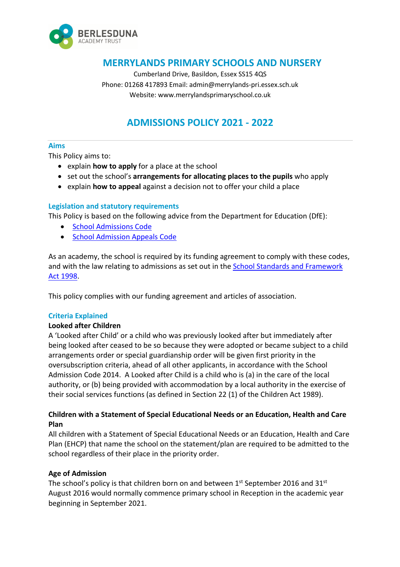

# **MERRYLANDS PRIMARY SCHOOLS AND NURSERY**

Cumberland Drive, Basildon, Essex SS15 4QS Phone: 01268 417893 Email: admin@merrylands-pri.essex.sch.uk Website: www.merrylandsprimaryschool.co.uk

# **ADMISSIONS POLICY 2021 - 2022**

# **Aims**

This Policy aims to:

- explain **how to apply** for a place at the school
- set out the school's **arrangements for allocating places to the pupils** who apply
- explain **how to appeal** against a decision not to offer your child a place

#### **Legislation and statutory requirements**

This Policy is based on the following advice from the Department for Education (DfE):

- School Admissions Code
- School Admission Appeals Code

As an academy, the school is required by its funding agreement to comply with these codes, and with the law relating to admissions as set out in the School Standards and Framework Act 1998.

This policy complies with our funding agreement and articles of association.

#### **Criteria Explained**

#### **Looked after Children**

A 'Looked after Child' or a child who was previously looked after but immediately after being looked after ceased to be so because they were adopted or became subject to a child arrangements order or special guardianship order will be given first priority in the oversubscription criteria, ahead of all other applicants, in accordance with the School Admission Code 2014. A Looked after Child is a child who is (a) in the care of the local authority, or (b) being provided with accommodation by a local authority in the exercise of their social services functions (as defined in Section 22 (1) of the Children Act 1989).

# **Children with a Statement of Special Educational Needs or an Education, Health and Care Plan**

All children with a Statement of Special Educational Needs or an Education, Health and Care Plan (EHCP) that name the school on the statement/plan are required to be admitted to the school regardless of their place in the priority order.

#### **Age of Admission**

The school's policy is that children born on and between  $1<sup>st</sup>$  September 2016 and 31 $<sup>st</sup>$ </sup> August 2016 would normally commence primary school in Reception in the academic year beginning in September 2021.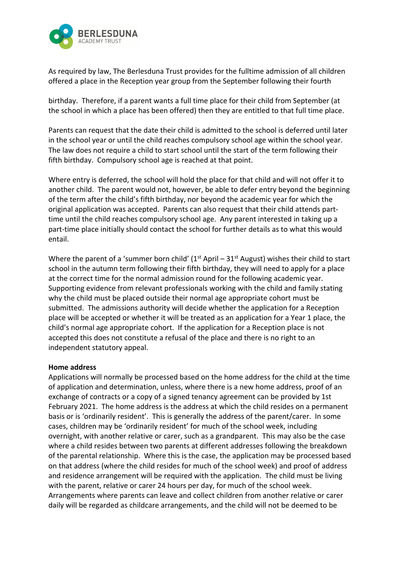

As required by law, The Berlesduna Trust provides for the fulltime admission of all children offered a place in the Reception year group from the September following their fourth

birthday. Therefore, if a parent wants a full time place for their child from September (at the school in which a place has been offered) then they are entitled to that full time place.

Parents can request that the date their child is admitted to the school is deferred until later in the school year or until the child reaches compulsory school age within the school year. The law does not require a child to start school until the start of the term following their fifth birthday. Compulsory school age is reached at that point.

Where entry is deferred, the school will hold the place for that child and will not offer it to another child. The parent would not, however, be able to defer entry beyond the beginning of the term after the child's fifth birthday, nor beyond the academic year for which the original application was accepted. Parents can also request that their child attends parttime until the child reaches compulsory school age. Any parent interested in taking up a part-time place initially should contact the school for further details as to what this would entail.

Where the parent of a 'summer born child' ( $1<sup>st</sup>$  April –  $31<sup>st</sup>$  August) wishes their child to start school in the autumn term following their fifth birthday, they will need to apply for a place at the correct time for the normal admission round for the following academic year. Supporting evidence from relevant professionals working with the child and family stating why the child must be placed outside their normal age appropriate cohort must be submitted. The admissions authority will decide whether the application for a Reception place will be accepted or whether it will be treated as an application for a Year 1 place, the child's normal age appropriate cohort. If the application for a Reception place is not accepted this does not constitute a refusal of the place and there is no right to an independent statutory appeal.

#### **Home address**

Applications will normally be processed based on the home address for the child at the time of application and determination, unless, where there is a new home address, proof of an exchange of contracts or a copy of a signed tenancy agreement can be provided by 1st February 2021. The home address is the address at which the child resides on a permanent basis or is 'ordinarily resident'. This is generally the address of the parent/carer. In some cases, children may be 'ordinarily resident' for much of the school week, including overnight, with another relative or carer, such as a grandparent. This may also be the case where a child resides between two parents at different addresses following the breakdown of the parental relationship. Where this is the case, the application may be processed based on that address (where the child resides for much of the school week) and proof of address and residence arrangement will be required with the application. The child must be living with the parent, relative or carer 24 hours per day, for much of the school week. Arrangements where parents can leave and collect children from another relative or carer daily will be regarded as childcare arrangements, and the child will not be deemed to be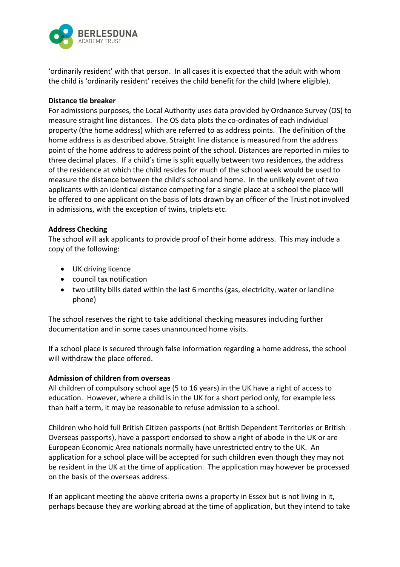

'ordinarily resident' with that person. In all cases it is expected that the adult with whom the child is 'ordinarily resident' receives the child benefit for the child (where eligible).

#### **Distance tie breaker**

For admissions purposes, the Local Authority uses data provided by Ordnance Survey (OS) to measure straight line distances. The OS data plots the co-ordinates of each individual property (the home address) which are referred to as address points. The definition of the home address is as described above. Straight line distance is measured from the address point of the home address to address point of the school. Distances are reported in miles to three decimal places. If a child's time is split equally between two residences, the address of the residence at which the child resides for much of the school week would be used to measure the distance between the child's school and home. In the unlikely event of two applicants with an identical distance competing for a single place at a school the place will be offered to one applicant on the basis of lots drawn by an officer of the Trust not involved in admissions, with the exception of twins, triplets etc.

# **Address Checking**

The school will ask applicants to provide proof of their home address. This may include a copy of the following:

- UK driving licence
- council tax notification
- two utility bills dated within the last 6 months (gas, electricity, water or landline phone)

The school reserves the right to take additional checking measures including further documentation and in some cases unannounced home visits.

If a school place is secured through false information regarding a home address, the school will withdraw the place offered.

#### **Admission of children from overseas**

All children of compulsory school age (5 to 16 years) in the UK have a right of access to education. However, where a child is in the UK for a short period only, for example less than half a term, it may be reasonable to refuse admission to a school.

Children who hold full British Citizen passports (not British Dependent Territories or British Overseas passports), have a passport endorsed to show a right of abode in the UK or are European Economic Area nationals normally have unrestricted entry to the UK. An application for a school place will be accepted for such children even though they may not be resident in the UK at the time of application. The application may however be processed on the basis of the overseas address.

If an applicant meeting the above criteria owns a property in Essex but is not living in it, perhaps because they are working abroad at the time of application, but they intend to take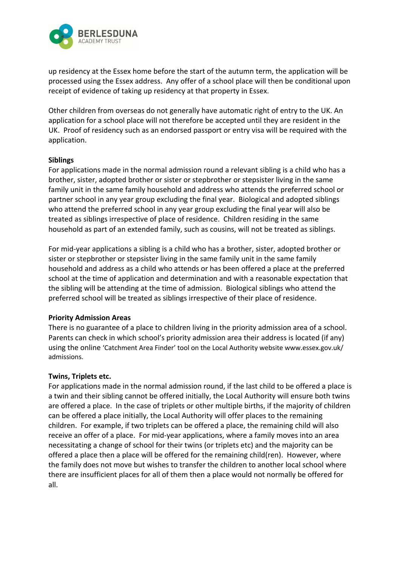

up residency at the Essex home before the start of the autumn term, the application will be processed using the Essex address. Any offer of a school place will then be conditional upon receipt of evidence of taking up residency at that property in Essex.

Other children from overseas do not generally have automatic right of entry to the UK. An application for a school place will not therefore be accepted until they are resident in the UK. Proof of residency such as an endorsed passport or entry visa will be required with the application.

#### **Siblings**

For applications made in the normal admission round a relevant sibling is a child who has a brother, sister, adopted brother or sister or stepbrother or stepsister living in the same family unit in the same family household and address who attends the preferred school or partner school in any year group excluding the final year. Biological and adopted siblings who attend the preferred school in any year group excluding the final year will also be treated as siblings irrespective of place of residence. Children residing in the same household as part of an extended family, such as cousins, will not be treated as siblings.

For mid-year applications a sibling is a child who has a brother, sister, adopted brother or sister or stepbrother or stepsister living in the same family unit in the same family household and address as a child who attends or has been offered a place at the preferred school at the time of application and determination and with a reasonable expectation that the sibling will be attending at the time of admission. Biological siblings who attend the preferred school will be treated as siblings irrespective of their place of residence.

#### **Priority Admission Areas**

There is no guarantee of a place to children living in the priority admission area of a school. Parents can check in which school's priority admission area their address is located (if any) using the online 'Catchment Area Finder' tool on the Local Authority website www.essex.gov.uk/ admissions.

#### **Twins, Triplets etc.**

For applications made in the normal admission round, if the last child to be offered a place is a twin and their sibling cannot be offered initially, the Local Authority will ensure both twins are offered a place. In the case of triplets or other multiple births, if the majority of children can be offered a place initially, the Local Authority will offer places to the remaining children. For example, if two triplets can be offered a place, the remaining child will also receive an offer of a place. For mid-year applications, where a family moves into an area necessitating a change of school for their twins (or triplets etc) and the majority can be offered a place then a place will be offered for the remaining child(ren). However, where the family does not move but wishes to transfer the children to another local school where there are insufficient places for all of them then a place would not normally be offered for all.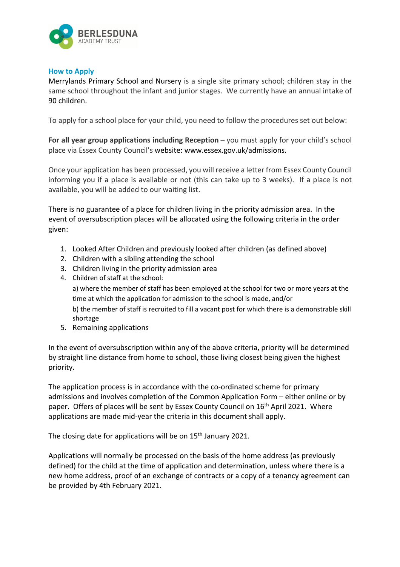

# **How to Apply**

Merrylands Primary School and Nursery is a single site primary school; children stay in the same school throughout the infant and junior stages. We currently have an annual intake of 90 children.

To apply for a school place for your child, you need to follow the procedures set out below:

**For all year group applications including Reception** – you must apply for your child's school place via Essex County Council's website: www.essex.gov.uk/admissions.

Once your application has been processed, you will receive a letter from Essex County Council informing you if a place is available or not (this can take up to 3 weeks). If a place is not available, you will be added to our waiting list.

There is no guarantee of a place for children living in the priority admission area. In the event of oversubscription places will be allocated using the following criteria in the order given:

- 1. Looked After Children and previously looked after children (as defined above)
- 2. Children with a sibling attending the school
- 3. Children living in the priority admission area
- 4. Children of staff at the school:

a) where the member of staff has been employed at the school for two or more years at the time at which the application for admission to the school is made, and/or b) the member of staff is recruited to fill a vacant post for which there is a demonstrable skill shortage

5. Remaining applications

In the event of oversubscription within any of the above criteria, priority will be determined by straight line distance from home to school, those living closest being given the highest priority.

The application process is in accordance with the co-ordinated scheme for primary admissions and involves completion of the Common Application Form – either online or by paper. Offers of places will be sent by Essex County Council on 16<sup>th</sup> April 2021. Where applications are made mid-year the criteria in this document shall apply.

The closing date for applications will be on 15<sup>th</sup> January 2021.

Applications will normally be processed on the basis of the home address (as previously defined) for the child at the time of application and determination, unless where there is a new home address, proof of an exchange of contracts or a copy of a tenancy agreement can be provided by 4th February 2021.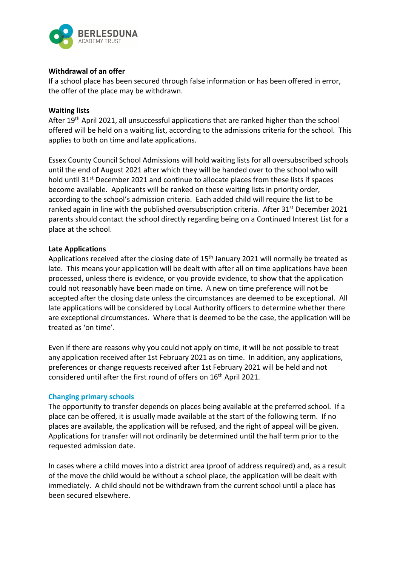

# **Withdrawal of an offer**

If a school place has been secured through false information or has been offered in error, the offer of the place may be withdrawn.

#### **Waiting lists**

After 19<sup>th</sup> April 2021, all unsuccessful applications that are ranked higher than the school offered will be held on a waiting list, according to the admissions criteria for the school. This applies to both on time and late applications.

Essex County Council School Admissions will hold waiting lists for all oversubscribed schools until the end of August 2021 after which they will be handed over to the school who will hold until 31<sup>st</sup> December 2021 and continue to allocate places from these lists if spaces become available. Applicants will be ranked on these waiting lists in priority order, according to the school's admission criteria. Each added child will require the list to be ranked again in line with the published oversubscription criteria. After 31<sup>st</sup> December 2021 parents should contact the school directly regarding being on a Continued Interest List for a place at the school.

#### **Late Applications**

Applications received after the closing date of 15<sup>th</sup> January 2021 will normally be treated as late. This means your application will be dealt with after all on time applications have been processed, unless there is evidence, or you provide evidence, to show that the application could not reasonably have been made on time. A new on time preference will not be accepted after the closing date unless the circumstances are deemed to be exceptional. All late applications will be considered by Local Authority officers to determine whether there are exceptional circumstances. Where that is deemed to be the case, the application will be treated as 'on time'.

Even if there are reasons why you could not apply on time, it will be not possible to treat any application received after 1st February 2021 as on time. In addition, any applications, preferences or change requests received after 1st February 2021 will be held and not considered until after the first round of offers on 16th April 2021.

#### **Changing primary schools**

The opportunity to transfer depends on places being available at the preferred school. If a place can be offered, it is usually made available at the start of the following term. If no places are available, the application will be refused, and the right of appeal will be given. Applications for transfer will not ordinarily be determined until the half term prior to the requested admission date.

In cases where a child moves into a district area (proof of address required) and, as a result of the move the child would be without a school place, the application will be dealt with immediately. A child should not be withdrawn from the current school until a place has been secured elsewhere.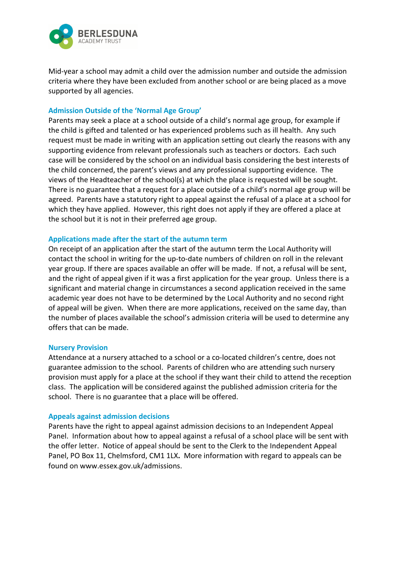

Mid-year a school may admit a child over the admission number and outside the admission criteria where they have been excluded from another school or are being placed as a move supported by all agencies.

#### **Admission Outside of the 'Normal Age Group'**

Parents may seek a place at a school outside of a child's normal age group, for example if the child is gifted and talented or has experienced problems such as ill health. Any such request must be made in writing with an application setting out clearly the reasons with any supporting evidence from relevant professionals such as teachers or doctors. Each such case will be considered by the school on an individual basis considering the best interests of the child concerned, the parent's views and any professional supporting evidence. The views of the Headteacher of the school(s) at which the place is requested will be sought. There is no guarantee that a request for a place outside of a child's normal age group will be agreed. Parents have a statutory right to appeal against the refusal of a place at a school for which they have applied. However, this right does not apply if they are offered a place at the school but it is not in their preferred age group.

#### **Applications made after the start of the autumn term**

On receipt of an application after the start of the autumn term the Local Authority will contact the school in writing for the up-to-date numbers of children on roll in the relevant year group. If there are spaces available an offer will be made. If not, a refusal will be sent, and the right of appeal given if it was a first application for the year group. Unless there is a significant and material change in circumstances a second application received in the same academic year does not have to be determined by the Local Authority and no second right of appeal will be given. When there are more applications, received on the same day, than the number of places available the school's admission criteria will be used to determine any offers that can be made.

#### **Nursery Provision**

Attendance at a nursery attached to a school or a co-located children's centre, does not guarantee admission to the school. Parents of children who are attending such nursery provision must apply for a place at the school if they want their child to attend the reception class. The application will be considered against the published admission criteria for the school. There is no guarantee that a place will be offered.

#### **Appeals against admission decisions**

Parents have the right to appeal against admission decisions to an Independent Appeal Panel. Information about how to appeal against a refusal of a school place will be sent with the offer letter. Notice of appeal should be sent to the Clerk to the Independent Appeal Panel, PO Box 11, Chelmsford, CM1 1LX**.** More information with regard to appeals can be found on www.essex.gov.uk/admissions.